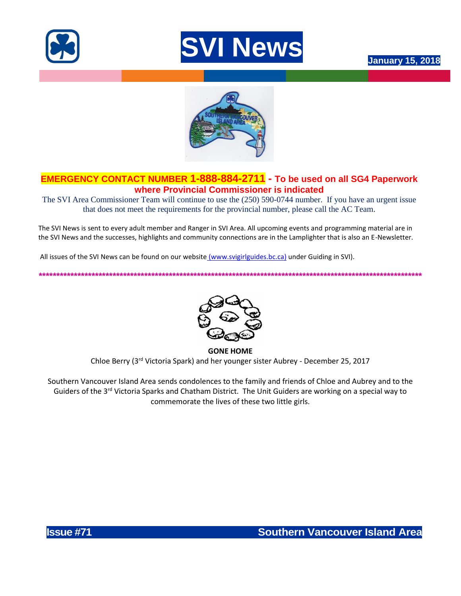





# **EMERGENCY CONTACT NUMBER 1-888-884-2711 - To be used on all SG4 Paperwork where Provincial Commissioner is indicated**

The SVI Area Commissioner Team will continue to use the (250) 590-0744 number. If you have an urgent issue that does not meet the requirements for the provincial number, please call the AC Team.

The SVI News is sent to every adult member and Ranger in SVI Area. All upcoming events and programming material are in the SVI News and the successes, highlights and community connections are in the Lamplighter that is also an E-Newsletter.

All issues of the SVI News can be found on our website [\(www.svigirlguides.bc.ca\)](http://www.svigirlguides.bc.ca/) under Guiding in SVI).

*\*\*\*\*\*\*\*\*\*\*\*\*\*\*\*\*\*\*\*\*\*\*\*\*\*\*\*\*\*\*\*\*\*\*\*\*\*\*\*\*\*\*\*\*\*\*\*\*\*\*\*\*\*\*\*\*\*\*\*\*\*\*\*\*\*\*\*\*\*\*\*\*\*\*\*\*\*\*\*\*\*\*\*\*\*\*\*\*\*\*\*\*\*\*\*\*\*\*\*\*\*\*\*\*\*\*\*\*\**

**GONE HOME** Chloe Berry (3rd Victoria Spark) and her younger sister Aubrey - December 25, 2017

Southern Vancouver Island Area sends condolences to the family and friends of Chloe and Aubrey and to the Guiders of the 3<sup>rd</sup> Victoria Sparks and Chatham District. The Unit Guiders are working on a special way to commemorate the lives of these two little girls.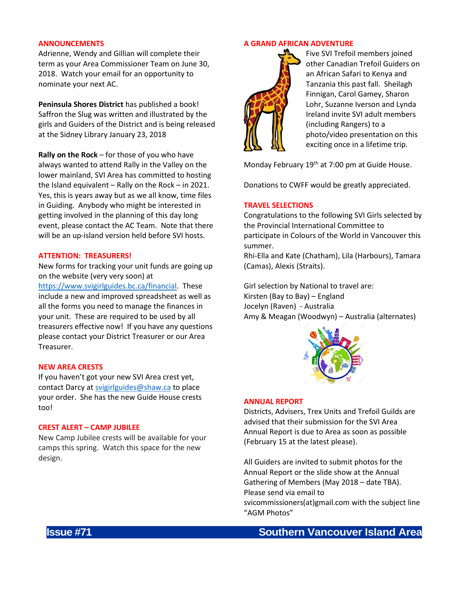## **ANNOUNCEMENTS**

Adrienne, Wendy and Gillian will complete their term as your Area Commissioner Team on June 30, 2018. Watch your email for an opportunity to nominate your next AC.

**Peninsula Shores District** has published a book! Saffron the Slug was written and illustrated by the girls and Guiders of the District and is being released at the Sidney Library January 23, 2018

**Rally on the Rock** – for those of you who have always wanted to attend Rally in the Valley on the lower mainland, SVI Area has committed to hosting the Island equivalent – Rally on the Rock – in 2021. Yes, this is years away but as we all know, time files in Guiding. Anybody who might be interested in getting involved in the planning of this day long event, please contact the AC Team. Note that there will be an up-island version held before SVI hosts.

## **ATTENTION: TREASURERS!**

New forms for tracking your unit funds are going up on the website (very very soon) at

[https://www.svigirlguides.bc.ca/financial.](https://www.svigirlguides.bc.ca/financial) These include a new and improved spreadsheet as well as all the forms you need to manage the finances in your unit. These are required to be used by all treasurers effective now! If you have any questions please contact your District Treasurer or our Area Treasurer.

## **NEW AREA CRESTS**

If you haven't got your new SVI Area crest yet, contact Darcy a[t svigirlguides@shaw.ca](mailto:svigirlguides@shaw.ca) to place your order. She has the new Guide House crests too!

# **CREST ALERT – CAMP JUBILEE**

New Camp Jubilee crests will be available for your camps this spring. Watch this space for the new design.

## **A GRAND AFRICAN ADVENTURE**



Five SVI Trefoil members joined other Canadian Trefoil Guiders on an African Safari to Kenya and Tanzania this past fall. Sheilagh Finnigan, Carol Gamey, Sharon Lohr, Suzanne Iverson and Lynda Ireland invite SVI adult members (including Rangers) to a photo/video presentation on this exciting once in a lifetime trip.

Monday February 19<sup>th</sup> at 7:00 pm at Guide House.

Donations to CWFF would be greatly appreciated.

#### **TRAVEL SELECTIONS**

Congratulations to the following SVI Girls selected by the Provincial International Committee to participate in Colours of the World in Vancouver this summer.

Rhi-Ella and Kate (Chatham), Lila (Harbours), Tamara (Camas), Alexis (Straits).

Girl selection by National to travel are: Kirsten (Bay to Bay) – England Jocelyn (Raven) - Australia Amy & Meagan (Woodwyn) – Australia (alternates)



## **ANNUAL REPORT**

Districts, Advisers, Trex Units and Trefoil Guilds are advised that their submission for the SVI Area Annual Report is due to Area as soon as possible (February 15 at the latest please).

All Guiders are invited to submit photos for the Annual Report or the slide show at the Annual Gathering of Members (May 2018 – date TBA). Please send via email to

svicommissioners(at)gmail.com with the subject line "AGM Photos"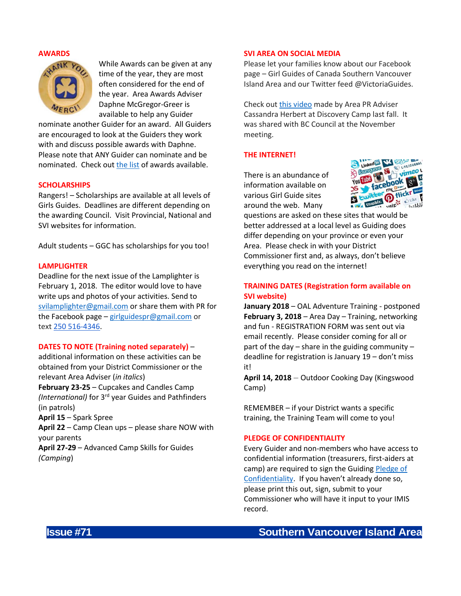## **AWARDS**



While Awards can be given at any time of the year, they are most often considered for the end of the year. Area Awards Adviser Daphne McGregor-Greer is available to help any Guider

nominate another Guider for an award. All Guiders are encouraged to look at the Guiders they work with and discuss possible awards with Daphne. Please note that ANY Guider can nominate and be nominated. Check ou[t the list](http://www.bc-girlguides.org/WEB/Documents/BC/awards/BCAwardsCommitteeQuickReferenceJanuary2017V2.pdf) of awards available.

#### **SCHOLARSHIPS**

Rangers! – Scholarships are available at all levels of Girls Guides. Deadlines are different depending on the awarding Council. Visit Provincial, National and SVI websites for information.

Adult students – GGC has scholarships for you too!

## **LAMPLIGHTER**

Deadline for the next issue of the Lamplighter is February 1, 2018. The editor would love to have write ups and photos of your activities. Send to [svilamplighter@gmail.com](mailto:svilamplighter@gmail.com) or share them with PR for the Facebook page – [girlguidespr@gmail.com](mailto:girlguidespr@gmail.com) or text [250 516-4346.](tel:250%20516-4346)

## **DATES TO NOTE (Training noted separately)** –

additional information on these activities can be obtained from your District Commissioner or the relevant Area Adviser (*in italics*)

**February 23-25** – Cupcakes and Candles Camp *(International)* for 3rd year Guides and Pathfinders (in patrols)

**April 15** – Spark Spree

**April 22** – Camp Clean ups – please share NOW with your parents

**April 27-29** – Advanced Camp Skills for Guides *(Camping*)

## **SVI AREA ON SOCIAL MEDIA**

Please let your families know about our Facebook page – Girl Guides of Canada Southern Vancouver Island Area and our Twitter feed @VictoriaGuides.

Check out [this video](https://www.facebook.com/SVIGirlGuides/videos/1921164841481035/) made by Area PR Adviser Cassandra Herbert at Discovery Camp last fall. It was shared with BC Council at the November meeting.

## **THE INTERNET!**

There is an abundance of information available on various Girl Guide sites around the web. Many



questions are asked on these sites that would be better addressed at a local level as Guiding does differ depending on your province or even your Area. Please check in with your District Commissioner first and, as always, don't believe everything you read on the internet!

# **TRAINING DATES (Registration form available on SVI website)**

**January 2018** – OAL Adventure Training - postponed **February 3, 2018** – Area Day – Training, networking and fun - REGISTRATION FORM was sent out via email recently. Please consider coming for all or part of the day – share in the guiding community – deadline for registration is January 19 – don't miss it!

**April 14, 2018** – Outdoor Cooking Day (Kingswood Camp)

REMEMBER – if your District wants a specific training, the Training Team will come to you!

## **PLEDGE OF CONFIDENTIALITY**

Every Guider and non-members who have access to confidential information (treasurers, first-aiders at camp) are required to sign the Guiding [Pledge of](https://www.girlguides.ca/WEB/Custom/BSIDocumentSelector/Pages/DocumentViewer.aspx?id=tbAvUQIA15yqFsDhUuM4gu%252fty2koLgxh0dkK5aD7XV0LY7rdpaiWoD2c1%252bRc4umu%252fd%252f94kP41QeYcqcUoaMypdThHDHiAM6uy8j6k73aS%252f7JvFZs9yiSq1nIMnNeCZ%252bAV4SXf2bTjpZpJf72fPc0DDLME8KOCEZpR8KtntlRaugOT%252fbCCV8cbOl9ezAtfx4ldSsxkeHkjTJJSEOlW7r2vJR%252f1hu9D4mIn5jtwMBMW9I%253d)  [Confidentiality](https://www.girlguides.ca/WEB/Custom/BSIDocumentSelector/Pages/DocumentViewer.aspx?id=tbAvUQIA15yqFsDhUuM4gu%252fty2koLgxh0dkK5aD7XV0LY7rdpaiWoD2c1%252bRc4umu%252fd%252f94kP41QeYcqcUoaMypdThHDHiAM6uy8j6k73aS%252f7JvFZs9yiSq1nIMnNeCZ%252bAV4SXf2bTjpZpJf72fPc0DDLME8KOCEZpR8KtntlRaugOT%252fbCCV8cbOl9ezAtfx4ldSsxkeHkjTJJSEOlW7r2vJR%252f1hu9D4mIn5jtwMBMW9I%253d). If you haven't already done so, please print this out, sign, submit to your Commissioner who will have it input to your IMIS record.